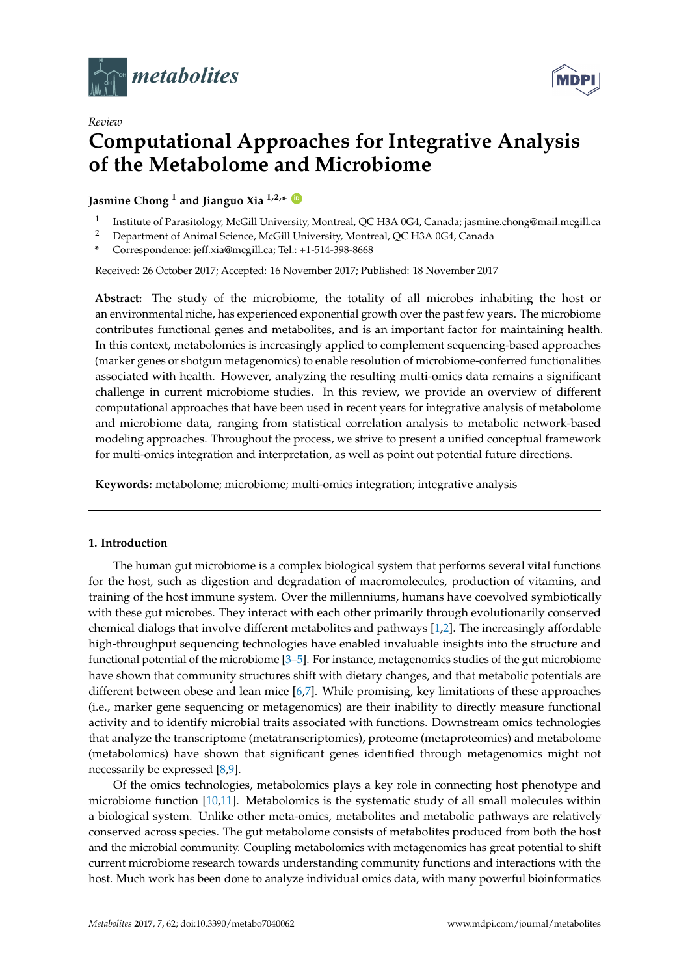

*Review*



# **Computational Approaches for Integrative Analysis of the Metabolome and Microbiome**

**Jasmine Chong <sup>1</sup> and Jianguo Xia 1,2,\* [ID](https://orcid.org/0000-0003-2040-2624)**

- 1 Institute of Parasitology, McGill University, Montreal, QC H3A 0G4, Canada; jasmine.chong@mail.mcgill.ca
- <sup>2</sup> Department of Animal Science, McGill University, Montreal, QC H3A 0G4, Canada
- **\*** Correspondence: jeff.xia@mcgill.ca; Tel.: +1-514-398-8668

Received: 26 October 2017; Accepted: 16 November 2017; Published: 18 November 2017

**Abstract:** The study of the microbiome, the totality of all microbes inhabiting the host or an environmental niche, has experienced exponential growth over the past few years. The microbiome contributes functional genes and metabolites, and is an important factor for maintaining health. In this context, metabolomics is increasingly applied to complement sequencing-based approaches (marker genes or shotgun metagenomics) to enable resolution of microbiome-conferred functionalities associated with health. However, analyzing the resulting multi-omics data remains a significant challenge in current microbiome studies. In this review, we provide an overview of different computational approaches that have been used in recent years for integrative analysis of metabolome and microbiome data, ranging from statistical correlation analysis to metabolic network-based modeling approaches. Throughout the process, we strive to present a unified conceptual framework for multi-omics integration and interpretation, as well as point out potential future directions.

**Keywords:** metabolome; microbiome; multi-omics integration; integrative analysis

### **1. Introduction**

The human gut microbiome is a complex biological system that performs several vital functions for the host, such as digestion and degradation of macromolecules, production of vitamins, and training of the host immune system. Over the millenniums, humans have coevolved symbiotically with these gut microbes. They interact with each other primarily through evolutionarily conserved chemical dialogs that involve different metabolites and pathways [\[1](#page-6-0)[,2\]](#page-6-1). The increasingly affordable high-throughput sequencing technologies have enabled invaluable insights into the structure and functional potential of the microbiome [\[3](#page-6-2)[–5\]](#page-6-3). For instance, metagenomics studies of the gut microbiome have shown that community structures shift with dietary changes, and that metabolic potentials are different between obese and lean mice [\[6,](#page-6-4)[7\]](#page-6-5). While promising, key limitations of these approaches (i.e., marker gene sequencing or metagenomics) are their inability to directly measure functional activity and to identify microbial traits associated with functions. Downstream omics technologies that analyze the transcriptome (metatranscriptomics), proteome (metaproteomics) and metabolome (metabolomics) have shown that significant genes identified through metagenomics might not necessarily be expressed [\[8](#page-6-6)[,9\]](#page-6-7).

Of the omics technologies, metabolomics plays a key role in connecting host phenotype and microbiome function [\[10,](#page-6-8)[11\]](#page-6-9). Metabolomics is the systematic study of all small molecules within a biological system. Unlike other meta-omics, metabolites and metabolic pathways are relatively conserved across species. The gut metabolome consists of metabolites produced from both the host and the microbial community. Coupling metabolomics with metagenomics has great potential to shift current microbiome research towards understanding community functions and interactions with the host. Much work has been done to analyze individual omics data, with many powerful bioinformatics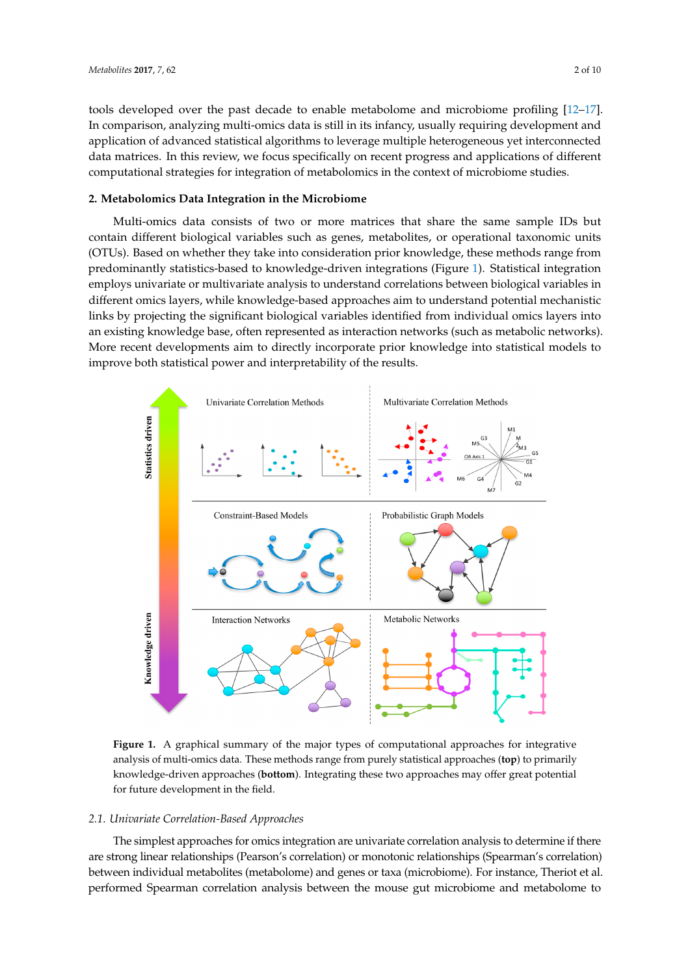tools developed over the past decade to enable metabolome and microbiome profiling [12-[17\]](#page-7-1). In comparison, analyzing multi-omics data is still in its infancy, usually requiring development and application of advanced statistical algorithms to leverage multiple heterogeneous yet interconnected data matrices. In this review, we focus specifically on recent progress and applications of different computational strategies for integration of metabolomics in the context of microbiome studies.

## **2. Metabolomics Data Integration in the Microbiome 2. Metabolomics Data Integration in the Microbiome**

Multi-omics data consists of two or more matrices that share the same sample IDs but contain different biological variables such as genes, metabolites, or operational taxonomic units (OTUs). Based on whether they take into consideration prior knowledge, these methods range from Based on whether they take into consideration prior knowledge, these methods range from predominantly statistics-based to knowledge-driven integrations (Figure 1). Statistical integration predominantly statistics-based to knowledge-driven integrations (Figure [1](#page-1-0)). Statistical integration employs univariate or multivariate analysis to understand correlations between biological variables in employs univariate or multivariate analysis to understand correlations between biological variables in different omics layers, while knowledge-based approaches aim to understand potential mechanistic different omics layers, while knowledge-based approaches aim to understand potential mechanistic links by projecting the significant biological variables identified from individual omics layers into an existing knowledge base, often represented as interaction networks (such as metabolic networks). More recent developments aim to directly incorporate prior knowledge into statistical models to More recent developments aim to directly incorporate prior knowledge into statistical models to improve both statistical power and interpretability of the results. improve both statistical power and interpretability of the results.

<span id="page-1-0"></span>

Figure 1. A graphical summary of the major types of computational approaches for integrative of multi-omics data. These methods range from purely statistical approaches (**top**) to primarily analysis of multi-omics data. These methods range from purely statistical approaches (**top**) to primarily<br>knowledge-driven approaches (**bottom**). Integrating these two approaches may offer great potential for future development in the field. for future development in the field.

#### *2.1. Univariate Correlation-Based Approaches 2.1. Univariate Correlation-Based Approaches*

The simplest approaches for omics integration are univariate correlation analysis to determine if there The simplest approaches for omics integration are univariate correlation analysis to determine if there<br>are strong linear relationships (Pearson's correlation) or monotonic relationships (Spearman's correlation) between individual metabolites (metabolome) and genes or taxa (microbiome). For instance, Theriot et al. performed Spearman correlation analysis between the mouse gut microbiome and metabolome to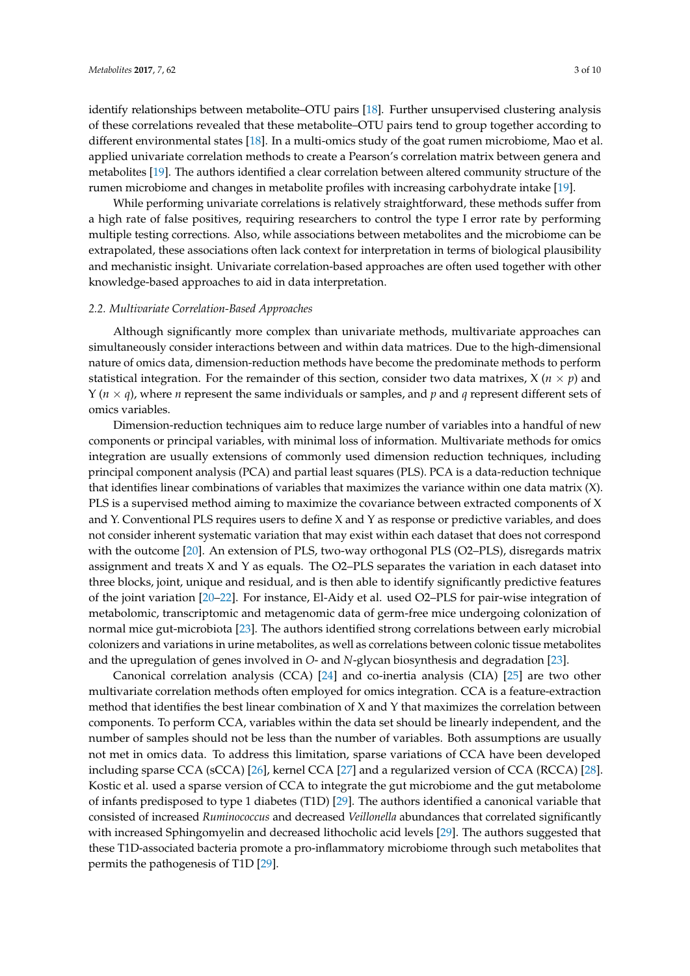identify relationships between metabolite–OTU pairs [\[18\]](#page-7-2). Further unsupervised clustering analysis of these correlations revealed that these metabolite–OTU pairs tend to group together according to different environmental states [\[18\]](#page-7-2). In a multi-omics study of the goat rumen microbiome, Mao et al. applied univariate correlation methods to create a Pearson's correlation matrix between genera and metabolites [\[19\]](#page-7-3). The authors identified a clear correlation between altered community structure of the rumen microbiome and changes in metabolite profiles with increasing carbohydrate intake [\[19\]](#page-7-3).

While performing univariate correlations is relatively straightforward, these methods suffer from a high rate of false positives, requiring researchers to control the type I error rate by performing multiple testing corrections. Also, while associations between metabolites and the microbiome can be extrapolated, these associations often lack context for interpretation in terms of biological plausibility and mechanistic insight. Univariate correlation-based approaches are often used together with other knowledge-based approaches to aid in data interpretation.

#### *2.2. Multivariate Correlation-Based Approaches*

Although significantly more complex than univariate methods, multivariate approaches can simultaneously consider interactions between and within data matrices. Due to the high-dimensional nature of omics data, dimension-reduction methods have become the predominate methods to perform statistical integration. For the remainder of this section, consider two data matrixes,  $X$  ( $n \times p$ ) and Y (*n* × *q*), where *n* represent the same individuals or samples, and *p* and *q* represent different sets of omics variables.

Dimension-reduction techniques aim to reduce large number of variables into a handful of new components or principal variables, with minimal loss of information. Multivariate methods for omics integration are usually extensions of commonly used dimension reduction techniques, including principal component analysis (PCA) and partial least squares (PLS). PCA is a data-reduction technique that identifies linear combinations of variables that maximizes the variance within one data matrix (X). PLS is a supervised method aiming to maximize the covariance between extracted components of X and Y. Conventional PLS requires users to define X and Y as response or predictive variables, and does not consider inherent systematic variation that may exist within each dataset that does not correspond with the outcome [\[20\]](#page-7-4). An extension of PLS, two-way orthogonal PLS (O2–PLS), disregards matrix assignment and treats  $X$  and  $Y$  as equals. The O2–PLS separates the variation in each dataset into three blocks, joint, unique and residual, and is then able to identify significantly predictive features of the joint variation [\[20–](#page-7-4)[22\]](#page-7-5). For instance, El-Aidy et al. used O2–PLS for pair-wise integration of metabolomic, transcriptomic and metagenomic data of germ-free mice undergoing colonization of normal mice gut-microbiota [\[23\]](#page-7-6). The authors identified strong correlations between early microbial colonizers and variations in urine metabolites, as well as correlations between colonic tissue metabolites and the upregulation of genes involved in *O*- and *N*-glycan biosynthesis and degradation [\[23\]](#page-7-6).

Canonical correlation analysis (CCA) [\[24\]](#page-7-7) and co-inertia analysis (CIA) [\[25\]](#page-7-8) are two other multivariate correlation methods often employed for omics integration. CCA is a feature-extraction method that identifies the best linear combination of X and Y that maximizes the correlation between components. To perform CCA, variables within the data set should be linearly independent, and the number of samples should not be less than the number of variables. Both assumptions are usually not met in omics data. To address this limitation, sparse variations of CCA have been developed including sparse CCA (sCCA) [\[26\]](#page-7-9), kernel CCA [\[27\]](#page-7-10) and a regularized version of CCA (RCCA) [\[28\]](#page-7-11). Kostic et al. used a sparse version of CCA to integrate the gut microbiome and the gut metabolome of infants predisposed to type 1 diabetes (T1D) [\[29\]](#page-7-12). The authors identified a canonical variable that consisted of increased *Ruminococcus* and decreased *Veillonella* abundances that correlated significantly with increased Sphingomyelin and decreased lithocholic acid levels [\[29\]](#page-7-12). The authors suggested that these T1D-associated bacteria promote a pro-inflammatory microbiome through such metabolites that permits the pathogenesis of T1D [\[29\]](#page-7-12).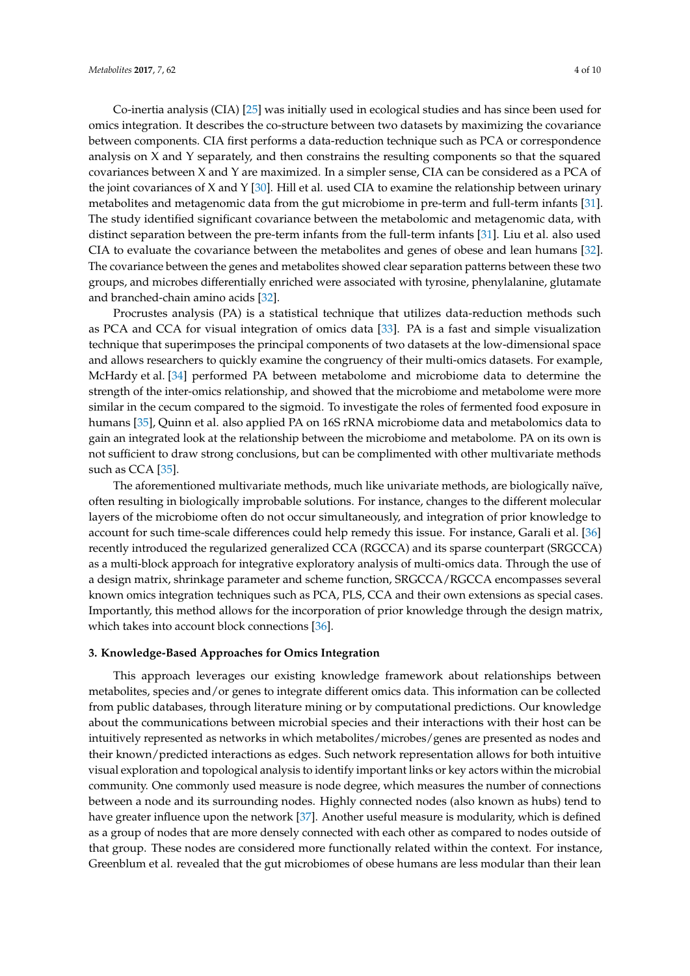Co-inertia analysis (CIA) [\[25\]](#page-7-8) was initially used in ecological studies and has since been used for omics integration. It describes the co-structure between two datasets by maximizing the covariance between components. CIA first performs a data-reduction technique such as PCA or correspondence analysis on X and Y separately, and then constrains the resulting components so that the squared covariances between X and Y are maximized. In a simpler sense, CIA can be considered as a PCA of the joint covariances of X and Y [\[30\]](#page-7-13). Hill et al. used CIA to examine the relationship between urinary metabolites and metagenomic data from the gut microbiome in pre-term and full-term infants [\[31\]](#page-7-14). The study identified significant covariance between the metabolomic and metagenomic data, with distinct separation between the pre-term infants from the full-term infants [\[31\]](#page-7-14). Liu et al. also used CIA to evaluate the covariance between the metabolites and genes of obese and lean humans [\[32\]](#page-7-15). The covariance between the genes and metabolites showed clear separation patterns between these two groups, and microbes differentially enriched were associated with tyrosine, phenylalanine, glutamate and branched-chain amino acids [\[32\]](#page-7-15).

Procrustes analysis (PA) is a statistical technique that utilizes data-reduction methods such as PCA and CCA for visual integration of omics data [\[33\]](#page-7-16). PA is a fast and simple visualization technique that superimposes the principal components of two datasets at the low-dimensional space and allows researchers to quickly examine the congruency of their multi-omics datasets. For example, McHardy et al. [\[34\]](#page-8-0) performed PA between metabolome and microbiome data to determine the strength of the inter-omics relationship, and showed that the microbiome and metabolome were more similar in the cecum compared to the sigmoid. To investigate the roles of fermented food exposure in humans [\[35\]](#page-8-1), Quinn et al. also applied PA on 16S rRNA microbiome data and metabolomics data to gain an integrated look at the relationship between the microbiome and metabolome. PA on its own is not sufficient to draw strong conclusions, but can be complimented with other multivariate methods such as CCA [\[35\]](#page-8-1).

The aforementioned multivariate methods, much like univariate methods, are biologically naïve, often resulting in biologically improbable solutions. For instance, changes to the different molecular layers of the microbiome often do not occur simultaneously, and integration of prior knowledge to account for such time-scale differences could help remedy this issue. For instance, Garali et al. [\[36\]](#page-8-2) recently introduced the regularized generalized CCA (RGCCA) and its sparse counterpart (SRGCCA) as a multi-block approach for integrative exploratory analysis of multi-omics data. Through the use of a design matrix, shrinkage parameter and scheme function, SRGCCA/RGCCA encompasses several known omics integration techniques such as PCA, PLS, CCA and their own extensions as special cases. Importantly, this method allows for the incorporation of prior knowledge through the design matrix, which takes into account block connections [\[36\]](#page-8-2).

## **3. Knowledge-Based Approaches for Omics Integration**

This approach leverages our existing knowledge framework about relationships between metabolites, species and/or genes to integrate different omics data. This information can be collected from public databases, through literature mining or by computational predictions. Our knowledge about the communications between microbial species and their interactions with their host can be intuitively represented as networks in which metabolites/microbes/genes are presented as nodes and their known/predicted interactions as edges. Such network representation allows for both intuitive visual exploration and topological analysis to identify important links or key actors within the microbial community. One commonly used measure is node degree, which measures the number of connections between a node and its surrounding nodes. Highly connected nodes (also known as hubs) tend to have greater influence upon the network [\[37\]](#page-8-3). Another useful measure is modularity, which is defined as a group of nodes that are more densely connected with each other as compared to nodes outside of that group. These nodes are considered more functionally related within the context. For instance, Greenblum et al. revealed that the gut microbiomes of obese humans are less modular than their lean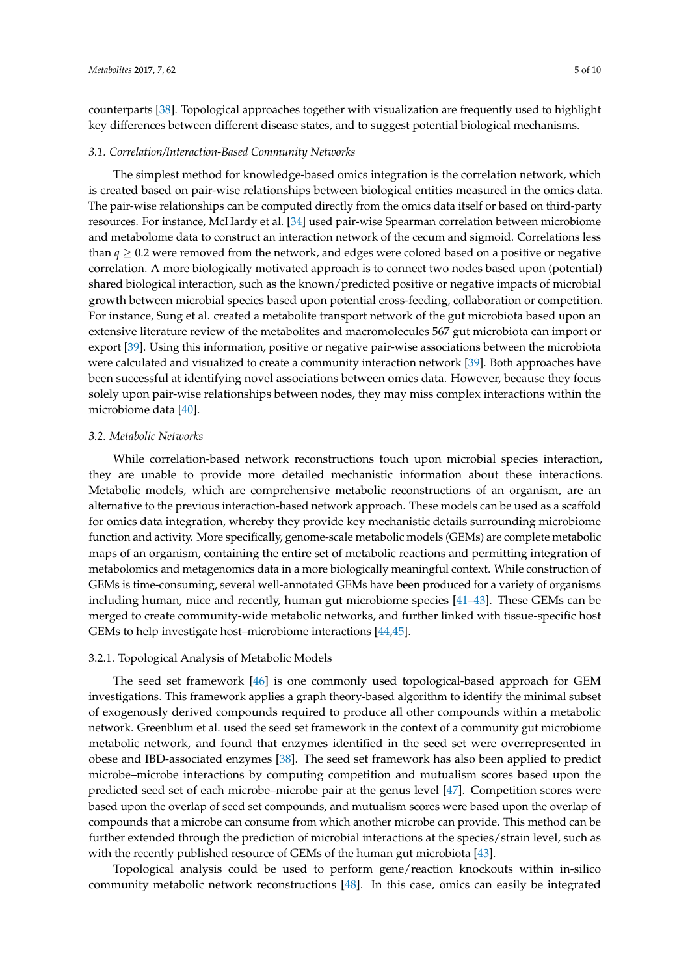counterparts [\[38\]](#page-8-4). Topological approaches together with visualization are frequently used to highlight key differences between different disease states, and to suggest potential biological mechanisms.

#### *3.1. Correlation/Interaction-Based Community Networks*

The simplest method for knowledge-based omics integration is the correlation network, which is created based on pair-wise relationships between biological entities measured in the omics data. The pair-wise relationships can be computed directly from the omics data itself or based on third-party resources. For instance, McHardy et al. [\[34\]](#page-8-0) used pair-wise Spearman correlation between microbiome and metabolome data to construct an interaction network of the cecum and sigmoid. Correlations less than  $q \geq 0.2$  were removed from the network, and edges were colored based on a positive or negative correlation. A more biologically motivated approach is to connect two nodes based upon (potential) shared biological interaction, such as the known/predicted positive or negative impacts of microbial growth between microbial species based upon potential cross-feeding, collaboration or competition. For instance, Sung et al. created a metabolite transport network of the gut microbiota based upon an extensive literature review of the metabolites and macromolecules 567 gut microbiota can import or export [\[39\]](#page-8-5). Using this information, positive or negative pair-wise associations between the microbiota were calculated and visualized to create a community interaction network [\[39\]](#page-8-5). Both approaches have been successful at identifying novel associations between omics data. However, because they focus solely upon pair-wise relationships between nodes, they may miss complex interactions within the microbiome data [\[40\]](#page-8-6).

## *3.2. Metabolic Networks*

While correlation-based network reconstructions touch upon microbial species interaction, they are unable to provide more detailed mechanistic information about these interactions. Metabolic models, which are comprehensive metabolic reconstructions of an organism, are an alternative to the previous interaction-based network approach. These models can be used as a scaffold for omics data integration, whereby they provide key mechanistic details surrounding microbiome function and activity. More specifically, genome-scale metabolic models (GEMs) are complete metabolic maps of an organism, containing the entire set of metabolic reactions and permitting integration of metabolomics and metagenomics data in a more biologically meaningful context. While construction of GEMs is time-consuming, several well-annotated GEMs have been produced for a variety of organisms including human, mice and recently, human gut microbiome species [\[41–](#page-8-7)[43\]](#page-8-8). These GEMs can be merged to create community-wide metabolic networks, and further linked with tissue-specific host GEMs to help investigate host–microbiome interactions [\[44](#page-8-9)[,45\]](#page-8-10).

#### 3.2.1. Topological Analysis of Metabolic Models

The seed set framework [\[46\]](#page-8-11) is one commonly used topological-based approach for GEM investigations. This framework applies a graph theory-based algorithm to identify the minimal subset of exogenously derived compounds required to produce all other compounds within a metabolic network. Greenblum et al. used the seed set framework in the context of a community gut microbiome metabolic network, and found that enzymes identified in the seed set were overrepresented in obese and IBD-associated enzymes [\[38\]](#page-8-4). The seed set framework has also been applied to predict microbe–microbe interactions by computing competition and mutualism scores based upon the predicted seed set of each microbe–microbe pair at the genus level [\[47\]](#page-8-12). Competition scores were based upon the overlap of seed set compounds, and mutualism scores were based upon the overlap of compounds that a microbe can consume from which another microbe can provide. This method can be further extended through the prediction of microbial interactions at the species/strain level, such as with the recently published resource of GEMs of the human gut microbiota [\[43\]](#page-8-8).

Topological analysis could be used to perform gene/reaction knockouts within in-silico community metabolic network reconstructions [\[48\]](#page-8-13). In this case, omics can easily be integrated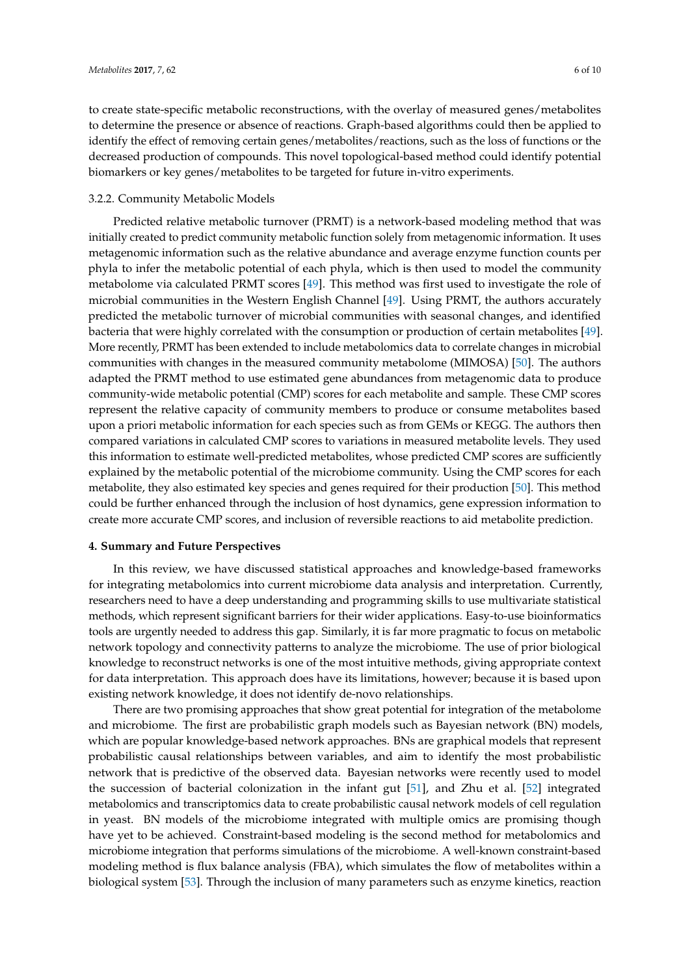to create state-specific metabolic reconstructions, with the overlay of measured genes/metabolites to determine the presence or absence of reactions. Graph-based algorithms could then be applied to identify the effect of removing certain genes/metabolites/reactions, such as the loss of functions or the decreased production of compounds. This novel topological-based method could identify potential biomarkers or key genes/metabolites to be targeted for future in-vitro experiments.

#### 3.2.2. Community Metabolic Models

Predicted relative metabolic turnover (PRMT) is a network-based modeling method that was initially created to predict community metabolic function solely from metagenomic information. It uses metagenomic information such as the relative abundance and average enzyme function counts per phyla to infer the metabolic potential of each phyla, which is then used to model the community metabolome via calculated PRMT scores [\[49\]](#page-8-14). This method was first used to investigate the role of microbial communities in the Western English Channel [\[49\]](#page-8-14). Using PRMT, the authors accurately predicted the metabolic turnover of microbial communities with seasonal changes, and identified bacteria that were highly correlated with the consumption or production of certain metabolites [\[49\]](#page-8-14). More recently, PRMT has been extended to include metabolomics data to correlate changes in microbial communities with changes in the measured community metabolome (MIMOSA) [\[50\]](#page-8-15). The authors adapted the PRMT method to use estimated gene abundances from metagenomic data to produce community-wide metabolic potential (CMP) scores for each metabolite and sample. These CMP scores represent the relative capacity of community members to produce or consume metabolites based upon a priori metabolic information for each species such as from GEMs or KEGG. The authors then compared variations in calculated CMP scores to variations in measured metabolite levels. They used this information to estimate well-predicted metabolites, whose predicted CMP scores are sufficiently explained by the metabolic potential of the microbiome community. Using the CMP scores for each metabolite, they also estimated key species and genes required for their production [\[50\]](#page-8-15). This method could be further enhanced through the inclusion of host dynamics, gene expression information to create more accurate CMP scores, and inclusion of reversible reactions to aid metabolite prediction.

#### **4. Summary and Future Perspectives**

In this review, we have discussed statistical approaches and knowledge-based frameworks for integrating metabolomics into current microbiome data analysis and interpretation. Currently, researchers need to have a deep understanding and programming skills to use multivariate statistical methods, which represent significant barriers for their wider applications. Easy-to-use bioinformatics tools are urgently needed to address this gap. Similarly, it is far more pragmatic to focus on metabolic network topology and connectivity patterns to analyze the microbiome. The use of prior biological knowledge to reconstruct networks is one of the most intuitive methods, giving appropriate context for data interpretation. This approach does have its limitations, however; because it is based upon existing network knowledge, it does not identify de-novo relationships.

There are two promising approaches that show great potential for integration of the metabolome and microbiome. The first are probabilistic graph models such as Bayesian network (BN) models, which are popular knowledge-based network approaches. BNs are graphical models that represent probabilistic causal relationships between variables, and aim to identify the most probabilistic network that is predictive of the observed data. Bayesian networks were recently used to model the succession of bacterial colonization in the infant gut [\[51\]](#page-8-16), and Zhu et al. [\[52\]](#page-9-0) integrated metabolomics and transcriptomics data to create probabilistic causal network models of cell regulation in yeast. BN models of the microbiome integrated with multiple omics are promising though have yet to be achieved. Constraint-based modeling is the second method for metabolomics and microbiome integration that performs simulations of the microbiome. A well-known constraint-based modeling method is flux balance analysis (FBA), which simulates the flow of metabolites within a biological system [\[53\]](#page-9-1). Through the inclusion of many parameters such as enzyme kinetics, reaction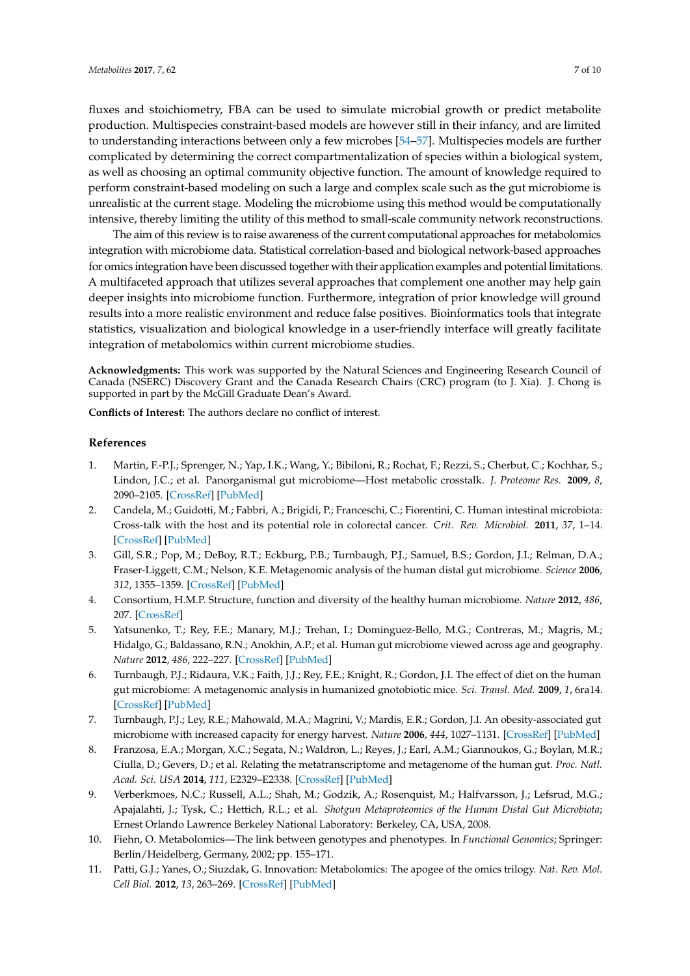fluxes and stoichiometry, FBA can be used to simulate microbial growth or predict metabolite production. Multispecies constraint-based models are however still in their infancy, and are limited to understanding interactions between only a few microbes [\[54](#page-9-2)[–57\]](#page-9-3). Multispecies models are further complicated by determining the correct compartmentalization of species within a biological system, as well as choosing an optimal community objective function. The amount of knowledge required to perform constraint-based modeling on such a large and complex scale such as the gut microbiome is unrealistic at the current stage. Modeling the microbiome using this method would be computationally intensive, thereby limiting the utility of this method to small-scale community network reconstructions.

The aim of this review is to raise awareness of the current computational approaches for metabolomics integration with microbiome data. Statistical correlation-based and biological network-based approaches for omics integration have been discussed together with their application examples and potential limitations. A multifaceted approach that utilizes several approaches that complement one another may help gain deeper insights into microbiome function. Furthermore, integration of prior knowledge will ground results into a more realistic environment and reduce false positives. Bioinformatics tools that integrate statistics, visualization and biological knowledge in a user-friendly interface will greatly facilitate integration of metabolomics within current microbiome studies.

**Acknowledgments:** This work was supported by the Natural Sciences and Engineering Research Council of Canada (NSERC) Discovery Grant and the Canada Research Chairs (CRC) program (to J. Xia). J. Chong is supported in part by the McGill Graduate Dean's Award.

**Conflicts of Interest:** The authors declare no conflict of interest.

#### **References**

- <span id="page-6-0"></span>1. Martin, F.-P.J.; Sprenger, N.; Yap, I.K.; Wang, Y.; Bibiloni, R.; Rochat, F.; Rezzi, S.; Cherbut, C.; Kochhar, S.; Lindon, J.C.; et al. Panorganismal gut microbiome—Host metabolic crosstalk. *J. Proteome Res.* **2009**, *8*, 2090–2105. [\[CrossRef\]](http://dx.doi.org/10.1021/pr801068x) [\[PubMed\]](http://www.ncbi.nlm.nih.gov/pubmed/19281268)
- <span id="page-6-1"></span>2. Candela, M.; Guidotti, M.; Fabbri, A.; Brigidi, P.; Franceschi, C.; Fiorentini, C. Human intestinal microbiota: Cross-talk with the host and its potential role in colorectal cancer. *Crit. Rev. Microbiol.* **2011**, *37*, 1–14. [\[CrossRef\]](http://dx.doi.org/10.3109/1040841X.2010.501760) [\[PubMed\]](http://www.ncbi.nlm.nih.gov/pubmed/20874522)
- <span id="page-6-2"></span>3. Gill, S.R.; Pop, M.; DeBoy, R.T.; Eckburg, P.B.; Turnbaugh, P.J.; Samuel, B.S.; Gordon, J.I.; Relman, D.A.; Fraser-Liggett, C.M.; Nelson, K.E. Metagenomic analysis of the human distal gut microbiome. *Science* **2006**, *312*, 1355–1359. [\[CrossRef\]](http://dx.doi.org/10.1126/science.1124234) [\[PubMed\]](http://www.ncbi.nlm.nih.gov/pubmed/16741115)
- 4. Consortium, H.M.P. Structure, function and diversity of the healthy human microbiome. *Nature* **2012**, *486*, 207. [\[CrossRef\]](http://dx.doi.org/10.1038/nature11234)
- <span id="page-6-3"></span>5. Yatsunenko, T.; Rey, F.E.; Manary, M.J.; Trehan, I.; Dominguez-Bello, M.G.; Contreras, M.; Magris, M.; Hidalgo, G.; Baldassano, R.N.; Anokhin, A.P.; et al. Human gut microbiome viewed across age and geography. *Nature* **2012**, *486*, 222–227. [\[CrossRef\]](http://dx.doi.org/10.1038/nature11053) [\[PubMed\]](http://www.ncbi.nlm.nih.gov/pubmed/22699611)
- <span id="page-6-4"></span>6. Turnbaugh, P.J.; Ridaura, V.K.; Faith, J.J.; Rey, F.E.; Knight, R.; Gordon, J.I. The effect of diet on the human gut microbiome: A metagenomic analysis in humanized gnotobiotic mice. *Sci. Transl. Med.* **2009**, *1*, 6ra14. [\[CrossRef\]](http://dx.doi.org/10.1126/scitranslmed.3000322) [\[PubMed\]](http://www.ncbi.nlm.nih.gov/pubmed/20368178)
- <span id="page-6-5"></span>7. Turnbaugh, P.J.; Ley, R.E.; Mahowald, M.A.; Magrini, V.; Mardis, E.R.; Gordon, J.I. An obesity-associated gut microbiome with increased capacity for energy harvest. *Nature* **2006**, *444*, 1027–1131. [\[CrossRef\]](http://dx.doi.org/10.1038/nature05414) [\[PubMed\]](http://www.ncbi.nlm.nih.gov/pubmed/17183312)
- <span id="page-6-6"></span>8. Franzosa, E.A.; Morgan, X.C.; Segata, N.; Waldron, L.; Reyes, J.; Earl, A.M.; Giannoukos, G.; Boylan, M.R.; Ciulla, D.; Gevers, D.; et al. Relating the metatranscriptome and metagenome of the human gut. *Proc. Natl. Acad. Sci. USA* **2014**, *111*, E2329–E2338. [\[CrossRef\]](http://dx.doi.org/10.1073/pnas.1319284111) [\[PubMed\]](http://www.ncbi.nlm.nih.gov/pubmed/24843156)
- <span id="page-6-7"></span>9. Verberkmoes, N.C.; Russell, A.L.; Shah, M.; Godzik, A.; Rosenquist, M.; Halfvarsson, J.; Lefsrud, M.G.; Apajalahti, J.; Tysk, C.; Hettich, R.L.; et al. *Shotgun Metaproteomics of the Human Distal Gut Microbiota*; Ernest Orlando Lawrence Berkeley National Laboratory: Berkeley, CA, USA, 2008.
- <span id="page-6-8"></span>10. Fiehn, O. Metabolomics—The link between genotypes and phenotypes. In *Functional Genomics*; Springer: Berlin/Heidelberg, Germany, 2002; pp. 155–171.
- <span id="page-6-9"></span>11. Patti, G.J.; Yanes, O.; Siuzdak, G. Innovation: Metabolomics: The apogee of the omics trilogy. *Nat. Rev. Mol. Cell Biol.* **2012**, *13*, 263–269. [\[CrossRef\]](http://dx.doi.org/10.1038/nrm3314) [\[PubMed\]](http://www.ncbi.nlm.nih.gov/pubmed/22436749)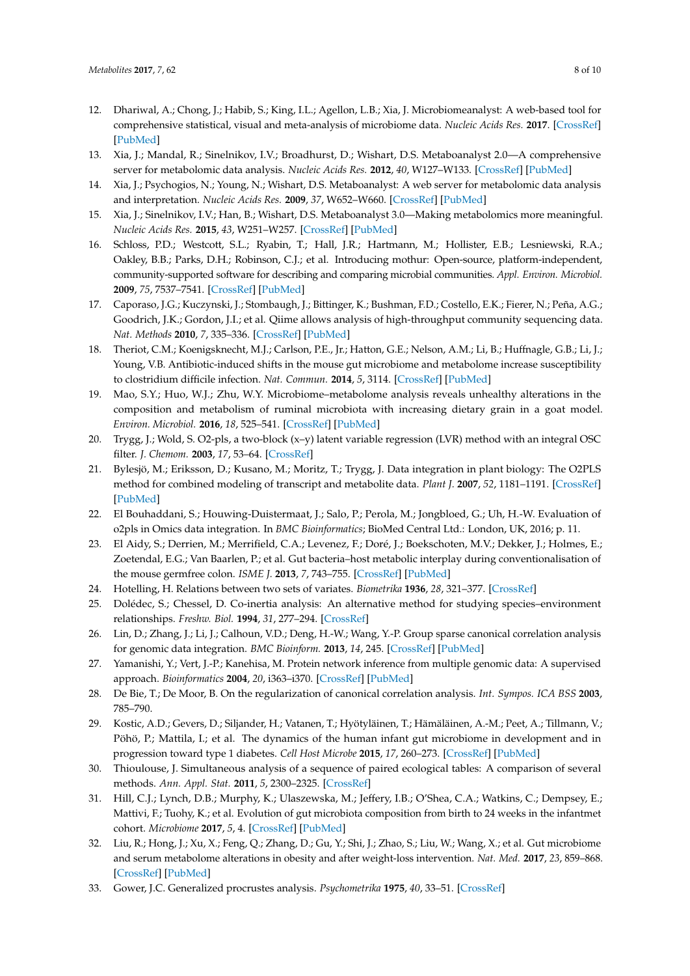- <span id="page-7-0"></span>12. Dhariwal, A.; Chong, J.; Habib, S.; King, I.L.; Agellon, L.B.; Xia, J. Microbiomeanalyst: A web-based tool for comprehensive statistical, visual and meta-analysis of microbiome data. *Nucleic Acids Res.* **2017**. [\[CrossRef\]](http://dx.doi.org/10.1093/nar/gkx295) [\[PubMed\]](http://www.ncbi.nlm.nih.gov/pubmed/28449106)
- 13. Xia, J.; Mandal, R.; Sinelnikov, I.V.; Broadhurst, D.; Wishart, D.S. Metaboanalyst 2.0—A comprehensive server for metabolomic data analysis. *Nucleic Acids Res.* **2012**, *40*, W127–W133. [\[CrossRef\]](http://dx.doi.org/10.1093/nar/gks374) [\[PubMed\]](http://www.ncbi.nlm.nih.gov/pubmed/22553367)
- 14. Xia, J.; Psychogios, N.; Young, N.; Wishart, D.S. Metaboanalyst: A web server for metabolomic data analysis and interpretation. *Nucleic Acids Res.* **2009**, *37*, W652–W660. [\[CrossRef\]](http://dx.doi.org/10.1093/nar/gkp356) [\[PubMed\]](http://www.ncbi.nlm.nih.gov/pubmed/19429898)
- 15. Xia, J.; Sinelnikov, I.V.; Han, B.; Wishart, D.S. Metaboanalyst 3.0—Making metabolomics more meaningful. *Nucleic Acids Res.* **2015**, *43*, W251–W257. [\[CrossRef\]](http://dx.doi.org/10.1093/nar/gkv380) [\[PubMed\]](http://www.ncbi.nlm.nih.gov/pubmed/25897128)
- 16. Schloss, P.D.; Westcott, S.L.; Ryabin, T.; Hall, J.R.; Hartmann, M.; Hollister, E.B.; Lesniewski, R.A.; Oakley, B.B.; Parks, D.H.; Robinson, C.J.; et al. Introducing mothur: Open-source, platform-independent, community-supported software for describing and comparing microbial communities. *Appl. Environ. Microbiol.* **2009**, *75*, 7537–7541. [\[CrossRef\]](http://dx.doi.org/10.1128/AEM.01541-09) [\[PubMed\]](http://www.ncbi.nlm.nih.gov/pubmed/19801464)
- <span id="page-7-1"></span>17. Caporaso, J.G.; Kuczynski, J.; Stombaugh, J.; Bittinger, K.; Bushman, F.D.; Costello, E.K.; Fierer, N.; Peña, A.G.; Goodrich, J.K.; Gordon, J.I.; et al. Qiime allows analysis of high-throughput community sequencing data. *Nat. Methods* **2010**, *7*, 335–336. [\[CrossRef\]](http://dx.doi.org/10.1038/nmeth.f.303) [\[PubMed\]](http://www.ncbi.nlm.nih.gov/pubmed/20383131)
- <span id="page-7-2"></span>18. Theriot, C.M.; Koenigsknecht, M.J.; Carlson, P.E., Jr.; Hatton, G.E.; Nelson, A.M.; Li, B.; Huffnagle, G.B.; Li, J.; Young, V.B. Antibiotic-induced shifts in the mouse gut microbiome and metabolome increase susceptibility to clostridium difficile infection. *Nat. Commun.* **2014**, *5*, 3114. [\[CrossRef\]](http://dx.doi.org/10.1038/ncomms4114) [\[PubMed\]](http://www.ncbi.nlm.nih.gov/pubmed/24445449)
- <span id="page-7-3"></span>19. Mao, S.Y.; Huo, W.J.; Zhu, W.Y. Microbiome–metabolome analysis reveals unhealthy alterations in the composition and metabolism of ruminal microbiota with increasing dietary grain in a goat model. *Environ. Microbiol.* **2016**, *18*, 525–541. [\[CrossRef\]](http://dx.doi.org/10.1111/1462-2920.12724) [\[PubMed\]](http://www.ncbi.nlm.nih.gov/pubmed/25471302)
- <span id="page-7-4"></span>20. Trygg, J.; Wold, S. O2-pls, a two-block (x–y) latent variable regression (LVR) method with an integral OSC filter. *J. Chemom.* **2003**, *17*, 53–64. [\[CrossRef\]](http://dx.doi.org/10.1002/cem.775)
- 21. Bylesjö, M.; Eriksson, D.; Kusano, M.; Moritz, T.; Trygg, J. Data integration in plant biology: The O2PLS method for combined modeling of transcript and metabolite data. *Plant J.* **2007**, *52*, 1181–1191. [\[CrossRef\]](http://dx.doi.org/10.1111/j.1365-313X.2007.03293.x) [\[PubMed\]](http://www.ncbi.nlm.nih.gov/pubmed/17931352)
- <span id="page-7-5"></span>22. El Bouhaddani, S.; Houwing-Duistermaat, J.; Salo, P.; Perola, M.; Jongbloed, G.; Uh, H.-W. Evaluation of o2pls in Omics data integration. In *BMC Bioinformatics*; BioMed Central Ltd.: London, UK, 2016; p. 11.
- <span id="page-7-6"></span>23. El Aidy, S.; Derrien, M.; Merrifield, C.A.; Levenez, F.; Doré, J.; Boekschoten, M.V.; Dekker, J.; Holmes, E.; Zoetendal, E.G.; Van Baarlen, P.; et al. Gut bacteria–host metabolic interplay during conventionalisation of the mouse germfree colon. *ISME J.* **2013**, *7*, 743–755. [\[CrossRef\]](http://dx.doi.org/10.1038/ismej.2012.142) [\[PubMed\]](http://www.ncbi.nlm.nih.gov/pubmed/23178667)
- <span id="page-7-7"></span>24. Hotelling, H. Relations between two sets of variates. *Biometrika* **1936**, *28*, 321–377. [\[CrossRef\]](http://dx.doi.org/10.1093/biomet/28.3-4.321)
- <span id="page-7-8"></span>25. Dolédec, S.; Chessel, D. Co-inertia analysis: An alternative method for studying species–environment relationships. *Freshw. Biol.* **1994**, *31*, 277–294. [\[CrossRef\]](http://dx.doi.org/10.1111/j.1365-2427.1994.tb01741.x)
- <span id="page-7-9"></span>26. Lin, D.; Zhang, J.; Li, J.; Calhoun, V.D.; Deng, H.-W.; Wang, Y.-P. Group sparse canonical correlation analysis for genomic data integration. *BMC Bioinform.* **2013**, *14*, 245. [\[CrossRef\]](http://dx.doi.org/10.1186/1471-2105-14-245) [\[PubMed\]](http://www.ncbi.nlm.nih.gov/pubmed/23937249)
- <span id="page-7-10"></span>27. Yamanishi, Y.; Vert, J.-P.; Kanehisa, M. Protein network inference from multiple genomic data: A supervised approach. *Bioinformatics* **2004**, *20*, i363–i370. [\[CrossRef\]](http://dx.doi.org/10.1093/bioinformatics/bth910) [\[PubMed\]](http://www.ncbi.nlm.nih.gov/pubmed/15262821)
- <span id="page-7-11"></span>28. De Bie, T.; De Moor, B. On the regularization of canonical correlation analysis. *Int. Sympos. ICA BSS* **2003**, 785–790.
- <span id="page-7-12"></span>29. Kostic, A.D.; Gevers, D.; Siljander, H.; Vatanen, T.; Hyötyläinen, T.; Hämäläinen, A.-M.; Peet, A.; Tillmann, V.; Pöhö, P.; Mattila, I.; et al. The dynamics of the human infant gut microbiome in development and in progression toward type 1 diabetes. *Cell Host Microbe* **2015**, *17*, 260–273. [\[CrossRef\]](http://dx.doi.org/10.1016/j.chom.2015.01.001) [\[PubMed\]](http://www.ncbi.nlm.nih.gov/pubmed/25662751)
- <span id="page-7-13"></span>30. Thioulouse, J. Simultaneous analysis of a sequence of paired ecological tables: A comparison of several methods. *Ann. Appl. Stat.* **2011**, *5*, 2300–2325. [\[CrossRef\]](http://dx.doi.org/10.1214/10-AOAS372)
- <span id="page-7-14"></span>31. Hill, C.J.; Lynch, D.B.; Murphy, K.; Ulaszewska, M.; Jeffery, I.B.; O'Shea, C.A.; Watkins, C.; Dempsey, E.; Mattivi, F.; Tuohy, K.; et al. Evolution of gut microbiota composition from birth to 24 weeks in the infantmet cohort. *Microbiome* **2017**, *5*, 4. [\[CrossRef\]](http://dx.doi.org/10.1186/s40168-016-0213-y) [\[PubMed\]](http://www.ncbi.nlm.nih.gov/pubmed/28095889)
- <span id="page-7-15"></span>32. Liu, R.; Hong, J.; Xu, X.; Feng, Q.; Zhang, D.; Gu, Y.; Shi, J.; Zhao, S.; Liu, W.; Wang, X.; et al. Gut microbiome and serum metabolome alterations in obesity and after weight-loss intervention. *Nat. Med.* **2017**, *23*, 859–868. [\[CrossRef\]](http://dx.doi.org/10.1038/nm.4358) [\[PubMed\]](http://www.ncbi.nlm.nih.gov/pubmed/28628112)
- <span id="page-7-16"></span>33. Gower, J.C. Generalized procrustes analysis. *Psychometrika* **1975**, *40*, 33–51. [\[CrossRef\]](http://dx.doi.org/10.1007/BF02291478)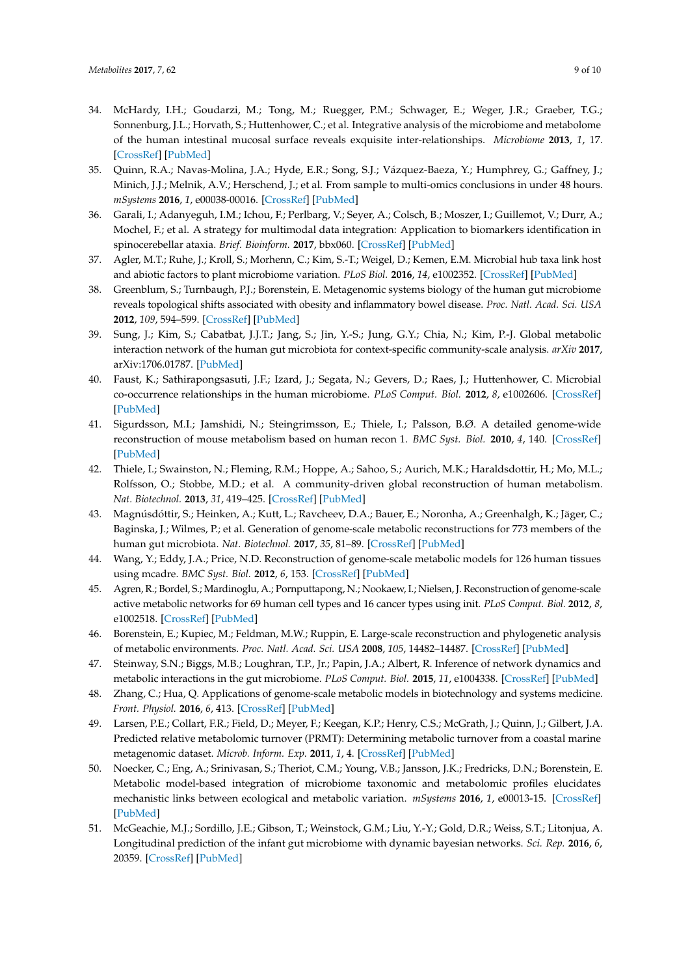- <span id="page-8-0"></span>34. McHardy, I.H.; Goudarzi, M.; Tong, M.; Ruegger, P.M.; Schwager, E.; Weger, J.R.; Graeber, T.G.; Sonnenburg, J.L.; Horvath, S.; Huttenhower, C.; et al. Integrative analysis of the microbiome and metabolome of the human intestinal mucosal surface reveals exquisite inter-relationships. *Microbiome* **2013**, *1*, 17. [\[CrossRef\]](http://dx.doi.org/10.1186/2049-2618-1-17) [\[PubMed\]](http://www.ncbi.nlm.nih.gov/pubmed/24450808)
- <span id="page-8-1"></span>35. Quinn, R.A.; Navas-Molina, J.A.; Hyde, E.R.; Song, S.J.; Vázquez-Baeza, Y.; Humphrey, G.; Gaffney, J.; Minich, J.J.; Melnik, A.V.; Herschend, J.; et al. From sample to multi-omics conclusions in under 48 hours. *mSystems* **2016**, *1*, e00038-00016. [\[CrossRef\]](http://dx.doi.org/10.1128/mSystems.00038-16) [\[PubMed\]](http://www.ncbi.nlm.nih.gov/pubmed/27822524)
- <span id="page-8-2"></span>36. Garali, I.; Adanyeguh, I.M.; Ichou, F.; Perlbarg, V.; Seyer, A.; Colsch, B.; Moszer, I.; Guillemot, V.; Durr, A.; Mochel, F.; et al. A strategy for multimodal data integration: Application to biomarkers identification in spinocerebellar ataxia. *Brief. Bioinform.* **2017**, bbx060. [\[CrossRef\]](http://dx.doi.org/10.1093/bib/bbx060) [\[PubMed\]](http://www.ncbi.nlm.nih.gov/pubmed/29106465)
- <span id="page-8-3"></span>37. Agler, M.T.; Ruhe, J.; Kroll, S.; Morhenn, C.; Kim, S.-T.; Weigel, D.; Kemen, E.M. Microbial hub taxa link host and abiotic factors to plant microbiome variation. *PLoS Biol.* **2016**, *14*, e1002352. [\[CrossRef\]](http://dx.doi.org/10.1371/journal.pbio.1002352) [\[PubMed\]](http://www.ncbi.nlm.nih.gov/pubmed/26788878)
- <span id="page-8-4"></span>38. Greenblum, S.; Turnbaugh, P.J.; Borenstein, E. Metagenomic systems biology of the human gut microbiome reveals topological shifts associated with obesity and inflammatory bowel disease. *Proc. Natl. Acad. Sci. USA* **2012**, *109*, 594–599. [\[CrossRef\]](http://dx.doi.org/10.1073/pnas.1116053109) [\[PubMed\]](http://www.ncbi.nlm.nih.gov/pubmed/22184244)
- <span id="page-8-5"></span>39. Sung, J.; Kim, S.; Cabatbat, J.J.T.; Jang, S.; Jin, Y.-S.; Jung, G.Y.; Chia, N.; Kim, P.-J. Global metabolic interaction network of the human gut microbiota for context-specific community-scale analysis. *arXiv* **2017**, arXiv:1706.01787. [\[PubMed\]](http://www.ncbi.nlm.nih.gov/pubmed/28585563)
- <span id="page-8-6"></span>40. Faust, K.; Sathirapongsasuti, J.F.; Izard, J.; Segata, N.; Gevers, D.; Raes, J.; Huttenhower, C. Microbial co-occurrence relationships in the human microbiome. *PLoS Comput. Biol.* **2012**, *8*, e1002606. [\[CrossRef\]](http://dx.doi.org/10.1371/journal.pcbi.1002606) [\[PubMed\]](http://www.ncbi.nlm.nih.gov/pubmed/22807668)
- <span id="page-8-7"></span>41. Sigurdsson, M.I.; Jamshidi, N.; Steingrimsson, E.; Thiele, I.; Palsson, B.Ø. A detailed genome-wide reconstruction of mouse metabolism based on human recon 1. *BMC Syst. Biol.* **2010**, *4*, 140. [\[CrossRef\]](http://dx.doi.org/10.1186/1752-0509-4-140) [\[PubMed\]](http://www.ncbi.nlm.nih.gov/pubmed/20959003)
- 42. Thiele, I.; Swainston, N.; Fleming, R.M.; Hoppe, A.; Sahoo, S.; Aurich, M.K.; Haraldsdottir, H.; Mo, M.L.; Rolfsson, O.; Stobbe, M.D.; et al. A community-driven global reconstruction of human metabolism. *Nat. Biotechnol.* **2013**, *31*, 419–425. [\[CrossRef\]](http://dx.doi.org/10.1038/nbt.2488) [\[PubMed\]](http://www.ncbi.nlm.nih.gov/pubmed/23455439)
- <span id="page-8-8"></span>43. Magnúsdóttir, S.; Heinken, A.; Kutt, L.; Ravcheev, D.A.; Bauer, E.; Noronha, A.; Greenhalgh, K.; Jäger, C.; Baginska, J.; Wilmes, P.; et al. Generation of genome-scale metabolic reconstructions for 773 members of the human gut microbiota. *Nat. Biotechnol.* **2017**, *35*, 81–89. [\[CrossRef\]](http://dx.doi.org/10.1038/nbt.3703) [\[PubMed\]](http://www.ncbi.nlm.nih.gov/pubmed/27893703)
- <span id="page-8-9"></span>44. Wang, Y.; Eddy, J.A.; Price, N.D. Reconstruction of genome-scale metabolic models for 126 human tissues using mcadre. *BMC Syst. Biol.* **2012**, *6*, 153. [\[CrossRef\]](http://dx.doi.org/10.1186/1752-0509-6-153) [\[PubMed\]](http://www.ncbi.nlm.nih.gov/pubmed/23234303)
- <span id="page-8-10"></span>45. Agren, R.; Bordel, S.; Mardinoglu, A.; Pornputtapong, N.; Nookaew, I.; Nielsen, J. Reconstruction of genome-scale active metabolic networks for 69 human cell types and 16 cancer types using init. *PLoS Comput. Biol.* **2012**, *8*, e1002518. [\[CrossRef\]](http://dx.doi.org/10.1371/journal.pcbi.1002518) [\[PubMed\]](http://www.ncbi.nlm.nih.gov/pubmed/22615553)
- <span id="page-8-11"></span>46. Borenstein, E.; Kupiec, M.; Feldman, M.W.; Ruppin, E. Large-scale reconstruction and phylogenetic analysis of metabolic environments. *Proc. Natl. Acad. Sci. USA* **2008**, *105*, 14482–14487. [\[CrossRef\]](http://dx.doi.org/10.1073/pnas.0806162105) [\[PubMed\]](http://www.ncbi.nlm.nih.gov/pubmed/18787117)
- <span id="page-8-12"></span>47. Steinway, S.N.; Biggs, M.B.; Loughran, T.P., Jr.; Papin, J.A.; Albert, R. Inference of network dynamics and metabolic interactions in the gut microbiome. *PLoS Comput. Biol.* **2015**, *11*, e1004338. [\[CrossRef\]](http://dx.doi.org/10.1371/journal.pcbi.1004338) [\[PubMed\]](http://www.ncbi.nlm.nih.gov/pubmed/26102287)
- <span id="page-8-13"></span>48. Zhang, C.; Hua, Q. Applications of genome-scale metabolic models in biotechnology and systems medicine. *Front. Physiol.* **2016**, *6*, 413. [\[CrossRef\]](http://dx.doi.org/10.3389/fphys.2015.00413) [\[PubMed\]](http://www.ncbi.nlm.nih.gov/pubmed/26779040)
- <span id="page-8-14"></span>49. Larsen, P.E.; Collart, F.R.; Field, D.; Meyer, F.; Keegan, K.P.; Henry, C.S.; McGrath, J.; Quinn, J.; Gilbert, J.A. Predicted relative metabolomic turnover (PRMT): Determining metabolic turnover from a coastal marine metagenomic dataset. *Microb. Inform. Exp.* **2011**, *1*, 4. [\[CrossRef\]](http://dx.doi.org/10.1186/2042-5783-1-4) [\[PubMed\]](http://www.ncbi.nlm.nih.gov/pubmed/22587810)
- <span id="page-8-15"></span>50. Noecker, C.; Eng, A.; Srinivasan, S.; Theriot, C.M.; Young, V.B.; Jansson, J.K.; Fredricks, D.N.; Borenstein, E. Metabolic model-based integration of microbiome taxonomic and metabolomic profiles elucidates mechanistic links between ecological and metabolic variation. *mSystems* **2016**, *1*, e00013-15. [\[CrossRef\]](http://dx.doi.org/10.1128/mSystems.00013-15) [\[PubMed\]](http://www.ncbi.nlm.nih.gov/pubmed/27239563)
- <span id="page-8-16"></span>51. McGeachie, M.J.; Sordillo, J.E.; Gibson, T.; Weinstock, G.M.; Liu, Y.-Y.; Gold, D.R.; Weiss, S.T.; Litonjua, A. Longitudinal prediction of the infant gut microbiome with dynamic bayesian networks. *Sci. Rep.* **2016**, *6*, 20359. [\[CrossRef\]](http://dx.doi.org/10.1038/srep20359) [\[PubMed\]](http://www.ncbi.nlm.nih.gov/pubmed/26853461)